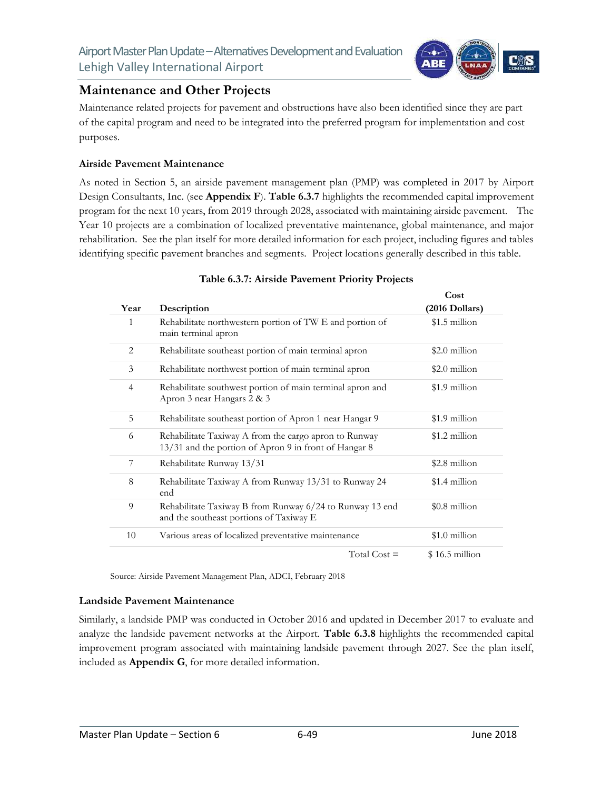

# **Maintenance and Other Projects**

Maintenance related projects for pavement and obstructions have also been identified since they are part of the capital program and need to be integrated into the preferred program for implementation and cost purposes.

### **Airside Pavement Maintenance**

As noted in Section 5, an airside pavement management plan (PMP) was completed in 2017 by Airport Design Consultants, Inc. (see **Appendix F**). **Table 6.3.7** highlights the recommended capital improvement program for the next 10 years, from 2019 through 2028, associated with maintaining airside pavement. The Year 10 projects are a combination of localized preventative maintenance, global maintenance, and major rehabilitation. See the plan itself for more detailed information for each project, including figures and tables identifying specific pavement branches and segments. Project locations generally described in this table.

|                |                                                                                                                | Cost            |
|----------------|----------------------------------------------------------------------------------------------------------------|-----------------|
| Year           | Description                                                                                                    | (2016 Dollars)  |
| 1              | Rehabilitate northwestern portion of TW E and portion of<br>main terminal apron                                | $$1.5$ million  |
| 2              | Rehabilitate southeast portion of main terminal apron                                                          | \$2.0 million   |
| 3              | Rehabilitate northwest portion of main terminal apron                                                          | $$2.0$ million  |
| $\overline{4}$ | Rehabilitate southwest portion of main terminal apron and<br>Apron 3 near Hangars 2 & 3                        | \$1.9 million   |
| 5              | Rehabilitate southeast portion of Apron 1 near Hangar 9                                                        | \$1.9 million   |
| 6              | Rehabilitate Taxiway A from the cargo apron to Runway<br>13/31 and the portion of Apron 9 in front of Hangar 8 | \$1.2 million   |
| 7              | Rehabilitate Runway 13/31                                                                                      | \$2.8 million   |
| 8              | Rehabilitate Taxiway A from Runway 13/31 to Runway 24<br>end                                                   | \$1.4 million   |
| 9              | Rehabilitate Taxiway B from Runway 6/24 to Runway 13 end<br>and the southeast portions of Taxiway E            | $$0.8$ million  |
| 10             | Various areas of localized preventative maintenance                                                            | $$1.0$ million  |
|                | Total Cost $=$                                                                                                 | $$16.5$ million |

### **Table 6.3.7: Airside Pavement Priority Projects**

Source: Airside Pavement Management Plan, ADCI, February 2018

<u> 1989 - Johann Barn, mars eta bainar eta bainar eta baina eta baina eta baina eta baina eta baina eta baina e</u>

### **Landside Pavement Maintenance**

Similarly, a landside PMP was conducted in October 2016 and updated in December 2017 to evaluate and analyze the landside pavement networks at the Airport. **Table 6.3.8** highlights the recommended capital improvement program associated with maintaining landside pavement through 2027. See the plan itself, included as **Appendix G**, for more detailed information.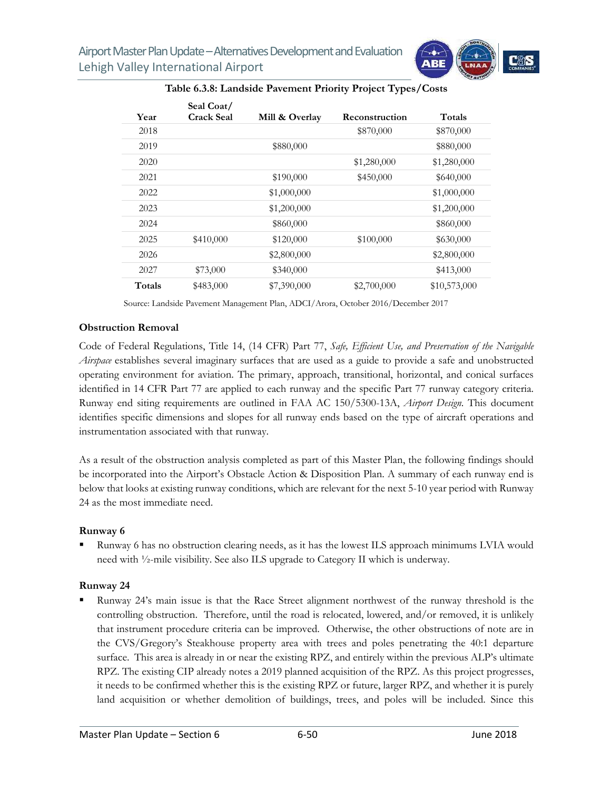

| Year   | Seal Coat/<br><b>Crack Seal</b> | Mill & Overlay | Reconstruction | Totals       |
|--------|---------------------------------|----------------|----------------|--------------|
| 2018   |                                 |                | \$870,000      | \$870,000    |
| 2019   |                                 | \$880,000      |                | \$880,000    |
| 2020   |                                 |                | \$1,280,000    | \$1,280,000  |
| 2021   |                                 | \$190,000      | \$450,000      | \$640,000    |
| 2022   |                                 | \$1,000,000    |                | \$1,000,000  |
| 2023   |                                 | \$1,200,000    |                | \$1,200,000  |
| 2024   |                                 | \$860,000      |                | \$860,000    |
| 2025   | \$410,000                       | \$120,000      | \$100,000      | \$630,000    |
| 2026   |                                 | \$2,800,000    |                | \$2,800,000  |
| 2027   | \$73,000                        | \$340,000      |                | \$413,000    |
| Totals | \$483,000                       | \$7,390,000    | \$2,700,000    | \$10,573,000 |
|        |                                 |                |                |              |

#### **Table 6.3.8: Landside Pavement Priority Project Types/Costs**

Source: Landside Pavement Management Plan, ADCI/Arora, October 2016/December 2017

#### **Obstruction Removal**

Code of Federal Regulations, Title 14, (14 CFR) Part 77, *Safe, Efficient Use, and Preservation of the Navigable Airspace* establishes several imaginary surfaces that are used as a guide to provide a safe and unobstructed operating environment for aviation. The primary, approach, transitional, horizontal, and conical surfaces identified in 14 CFR Part 77 are applied to each runway and the specific Part 77 runway category criteria. Runway end siting requirements are outlined in FAA AC 150/5300-13A, *Airport Design*. This document identifies specific dimensions and slopes for all runway ends based on the type of aircraft operations and instrumentation associated with that runway.

As a result of the obstruction analysis completed as part of this Master Plan, the following findings should be incorporated into the Airport's Obstacle Action & Disposition Plan. A summary of each runway end is below that looks at existing runway conditions, which are relevant for the next 5-10 year period with Runway 24 as the most immediate need.

#### **Runway 6**

 Runway 6 has no obstruction clearing needs, as it has the lowest ILS approach minimums LVIA would need with ½-mile visibility. See also ILS upgrade to Category II which is underway.

### **Runway 24**

 Runway 24's main issue is that the Race Street alignment northwest of the runway threshold is the controlling obstruction. Therefore, until the road is relocated, lowered, and/or removed, it is unlikely that instrument procedure criteria can be improved. Otherwise, the other obstructions of note are in the CVS/Gregory's Steakhouse property area with trees and poles penetrating the 40:1 departure surface. This area is already in or near the existing RPZ, and entirely within the previous ALP's ultimate RPZ. The existing CIP already notes a 2019 planned acquisition of the RPZ. As this project progresses, it needs to be confirmed whether this is the existing RPZ or future, larger RPZ, and whether it is purely land acquisition or whether demolition of buildings, trees, and poles will be included. Since this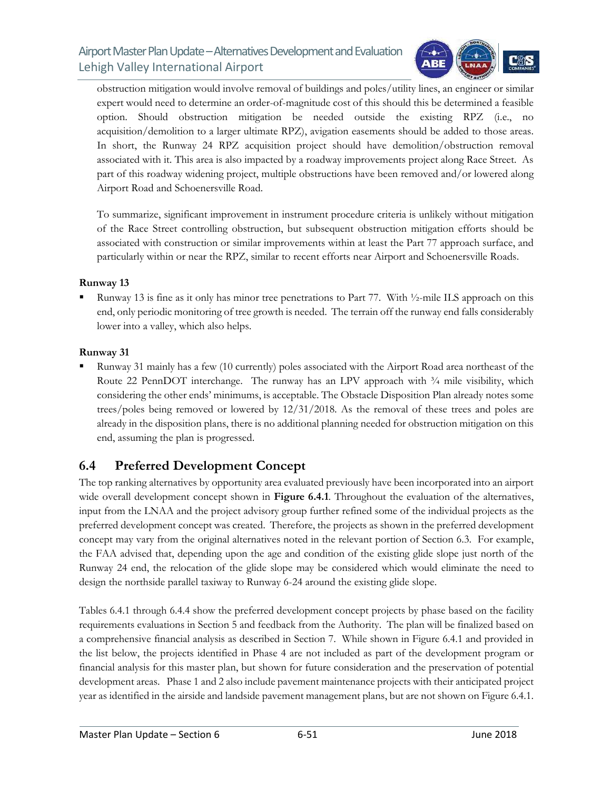

obstruction mitigation would involve removal of buildings and poles/utility lines, an engineer or similar expert would need to determine an order-of-magnitude cost of this should this be determined a feasible option. Should obstruction mitigation be needed outside the existing RPZ (i.e., no acquisition/demolition to a larger ultimate RPZ), avigation easements should be added to those areas. In short, the Runway 24 RPZ acquisition project should have demolition/obstruction removal associated with it. This area is also impacted by a roadway improvements project along Race Street. As part of this roadway widening project, multiple obstructions have been removed and/or lowered along Airport Road and Schoenersville Road.

To summarize, significant improvement in instrument procedure criteria is unlikely without mitigation of the Race Street controlling obstruction, but subsequent obstruction mitigation efforts should be associated with construction or similar improvements within at least the Part 77 approach surface, and particularly within or near the RPZ, similar to recent efforts near Airport and Schoenersville Roads.

### **Runway 13**

 Runway 13 is fine as it only has minor tree penetrations to Part 77. With ½-mile ILS approach on this end, only periodic monitoring of tree growth is needed. The terrain off the runway end falls considerably lower into a valley, which also helps.

### **Runway 31**

 Runway 31 mainly has a few (10 currently) poles associated with the Airport Road area northeast of the Route 22 PennDOT interchange. The runway has an LPV approach with  $\frac{3}{4}$  mile visibility, which considering the other ends' minimums, is acceptable. The Obstacle Disposition Plan already notes some trees/poles being removed or lowered by 12/31/2018. As the removal of these trees and poles are already in the disposition plans, there is no additional planning needed for obstruction mitigation on this end, assuming the plan is progressed.

# **6.4 Preferred Development Concept**

The top ranking alternatives by opportunity area evaluated previously have been incorporated into an airport wide overall development concept shown in **Figure 6.4.1**. Throughout the evaluation of the alternatives, input from the LNAA and the project advisory group further refined some of the individual projects as the preferred development concept was created. Therefore, the projects as shown in the preferred development concept may vary from the original alternatives noted in the relevant portion of Section 6.3. For example, the FAA advised that, depending upon the age and condition of the existing glide slope just north of the Runway 24 end, the relocation of the glide slope may be considered which would eliminate the need to design the northside parallel taxiway to Runway 6-24 around the existing glide slope.

Tables 6.4.1 through 6.4.4 show the preferred development concept projects by phase based on the facility requirements evaluations in Section 5 and feedback from the Authority. The plan will be finalized based on a comprehensive financial analysis as described in Section 7. While shown in Figure 6.4.1 and provided in the list below, the projects identified in Phase 4 are not included as part of the development program or financial analysis for this master plan, but shown for future consideration and the preservation of potential development areas. Phase 1 and 2 also include pavement maintenance projects with their anticipated project year as identified in the airside and landside pavement management plans, but are not shown on Figure 6.4.1.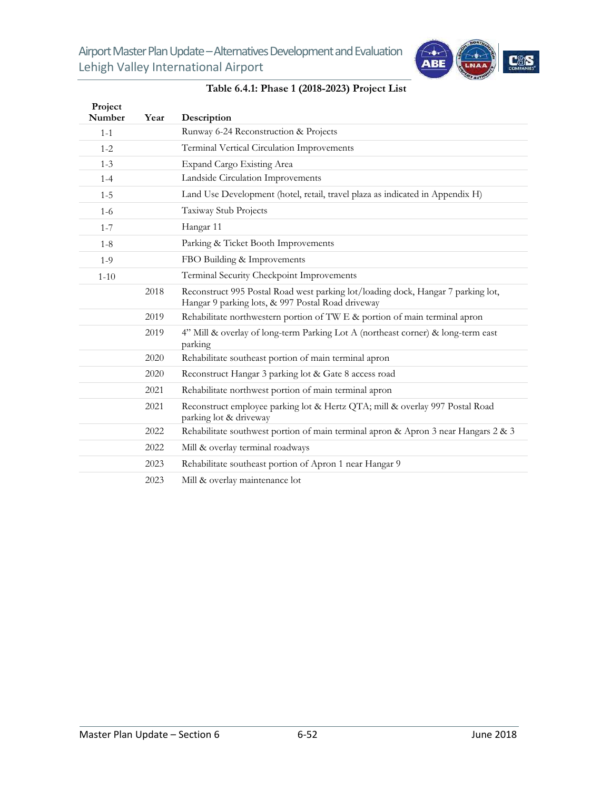

| Project<br>Number | Year | Description                                                                                                                           |
|-------------------|------|---------------------------------------------------------------------------------------------------------------------------------------|
| $1 - 1$           |      | Runway 6-24 Reconstruction & Projects                                                                                                 |
| $1 - 2$           |      | Terminal Vertical Circulation Improvements                                                                                            |
| $1 - 3$           |      | Expand Cargo Existing Area                                                                                                            |
| $1 - 4$           |      | Landside Circulation Improvements                                                                                                     |
| $1 - 5$           |      | Land Use Development (hotel, retail, travel plaza as indicated in Appendix H)                                                         |
| $1-6$             |      | Taxiway Stub Projects                                                                                                                 |
| $1 - 7$           |      | Hangar 11                                                                                                                             |
| $1 - 8$           |      | Parking & Ticket Booth Improvements                                                                                                   |
| $1-9$             |      | FBO Building & Improvements                                                                                                           |
| $1 - 10$          |      | Terminal Security Checkpoint Improvements                                                                                             |
|                   | 2018 | Reconstruct 995 Postal Road west parking lot/loading dock, Hangar 7 parking lot,<br>Hangar 9 parking lots, & 997 Postal Road driveway |
|                   | 2019 | Rehabilitate northwestern portion of TW E & portion of main terminal apron                                                            |
|                   | 2019 | 4" Mill & overlay of long-term Parking Lot A (northeast corner) & long-term east<br>parking                                           |
|                   | 2020 | Rehabilitate southeast portion of main terminal apron                                                                                 |
|                   | 2020 | Reconstruct Hangar 3 parking lot & Gate 8 access road                                                                                 |
|                   | 2021 | Rehabilitate northwest portion of main terminal apron                                                                                 |
|                   | 2021 | Reconstruct employee parking lot & Hertz QTA; mill & overlay 997 Postal Road<br>parking lot & driveway                                |
|                   | 2022 | Rehabilitate southwest portion of main terminal apron & Apron 3 near Hangars 2 & 3                                                    |
|                   | 2022 | Mill & overlay terminal roadways                                                                                                      |
|                   | 2023 | Rehabilitate southeast portion of Apron 1 near Hangar 9                                                                               |
|                   | 2023 | Mill & overlay maintenance lot                                                                                                        |

# **Table 6.4.1: Phase 1 (2018-2023) Project List**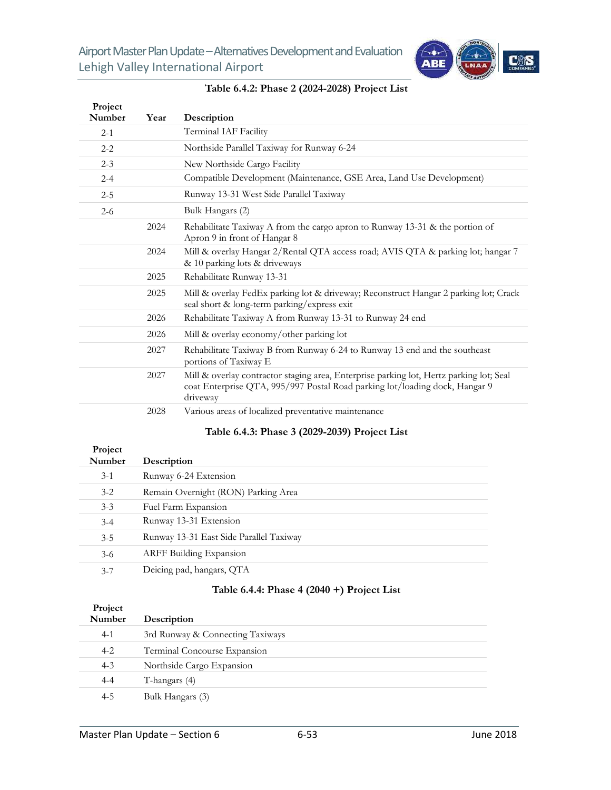

| Project<br>Number | Year | Description                                                                                                                                                                        |
|-------------------|------|------------------------------------------------------------------------------------------------------------------------------------------------------------------------------------|
| $2 - 1$           |      | Terminal IAF Facility                                                                                                                                                              |
| $2 - 2$           |      | Northside Parallel Taxiway for Runway 6-24                                                                                                                                         |
| $2 - 3$           |      | New Northside Cargo Facility                                                                                                                                                       |
| $2 - 4$           |      | Compatible Development (Maintenance, GSE Area, Land Use Development)                                                                                                               |
| $2 - 5$           |      | Runway 13-31 West Side Parallel Taxiway                                                                                                                                            |
| $2 - 6$           |      | Bulk Hangars (2)                                                                                                                                                                   |
|                   | 2024 | Rehabilitate Taxiway A from the cargo apron to Runway 13-31 & the portion of<br>Apron 9 in front of Hangar 8                                                                       |
|                   | 2024 | Mill & overlay Hangar 2/Rental QTA access road; AVIS QTA & parking lot; hangar 7<br>& 10 parking lots & driveways                                                                  |
|                   | 2025 | Rehabilitate Runway 13-31                                                                                                                                                          |
|                   | 2025 | Mill & overlay FedEx parking lot & driveway; Reconstruct Hangar 2 parking lot; Crack<br>seal short & long-term parking/express exit                                                |
|                   | 2026 | Rehabilitate Taxiway A from Runway 13-31 to Runway 24 end                                                                                                                          |
|                   | 2026 | Mill & overlay economy/other parking lot                                                                                                                                           |
|                   | 2027 | Rehabilitate Taxiway B from Runway 6-24 to Runway 13 end and the southeast<br>portions of Taxiway E                                                                                |
|                   | 2027 | Mill & overlay contractor staging area, Enterprise parking lot, Hertz parking lot; Seal<br>coat Enterprise QTA, 995/997 Postal Road parking lot/loading dock, Hangar 9<br>driveway |
|                   | 2028 | Various areas of localized preventative maintenance                                                                                                                                |

#### **Table 6.4.2: Phase 2 (2024-2028) Project List**

# **Table 6.4.3: Phase 3 (2029-2039) Project List**

| Project<br>Number | Description                             |
|-------------------|-----------------------------------------|
| $3-1$             | Runway 6-24 Extension                   |
| $3 - 2$           | Remain Overnight (RON) Parking Area     |
| $3 - 3$           | Fuel Farm Expansion                     |
| $3 - 4$           | Runway 13-31 Extension                  |
| $3 - 5$           | Runway 13-31 East Side Parallel Taxiway |
| $3-6$             | <b>ARFF Building Expansion</b>          |
| $3 - 7$           | Deicing pad, hangars, QTA               |

# **Table 6.4.4: Phase 4 (2040 +) Project List**

| Project<br>Number | Description                      |
|-------------------|----------------------------------|
| $4-1$             | 3rd Runway & Connecting Taxiways |
| $4 - 2$           | Terminal Concourse Expansion     |
| $4 - 3$           | Northside Cargo Expansion        |
| $4 - 4$           | T-hangars (4)                    |
| 4-5               | Bulk Hangars (3)                 |